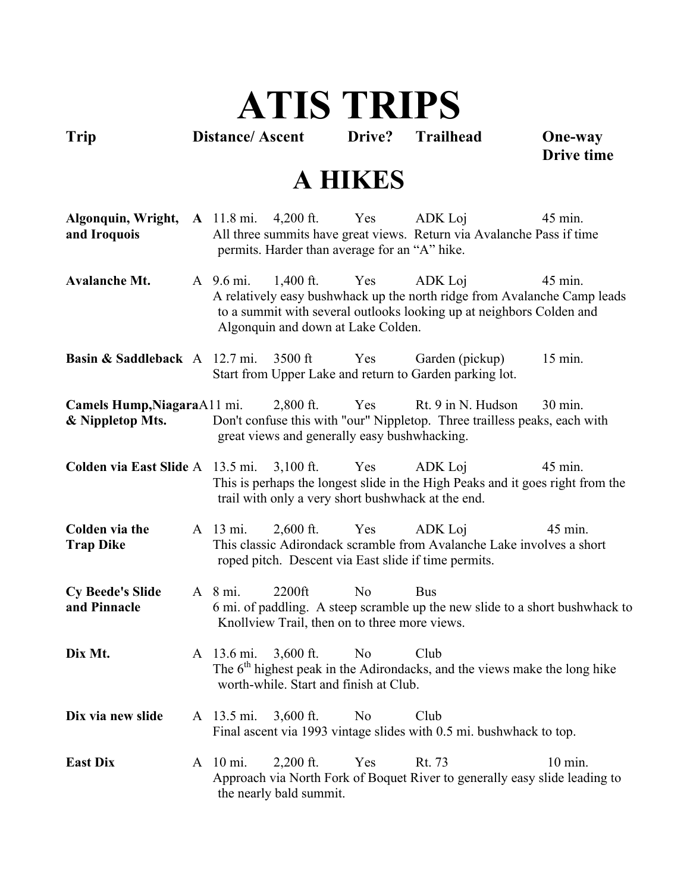# **ATIS TRIPS**

**Trip Distance/ Ascent Drive? Trailhead One-way** 

**Drive time**

#### **A HIKES**

**Algonquin, Wright, A** 11.8 mi.  $4,200$  ft. Yes ADK Loj 45 min. **and Iroquois** All three summits have great views. Return via Avalanche Pass if time permits. Harder than average for an "A" hike.

Avalanche Mt. A 9.6 mi. 1.400 ft. Yes ADK Loi 45 min. A relatively easy bushwhack up the north ridge from Avalanche Camp leads to a summit with several outlooks looking up at neighbors Colden and Algonquin and down at Lake Colden.

**Basin & Saddleback** A 12.7 mi. 3500 ft Yes Garden (pickup) 15 min. Start from Upper Lake and return to Garden parking lot.

**Camels Hump, Niagara**A11 mi. 2,800 ft. Yes Rt. 9 in N. Hudson 30 min. **& Nippletop Mts.** Don't confuse this with "our" Nippletop. Three trailless peaks, each with great views and generally easy bushwhacking.

**Colden via East Slide** A 13.5 mi. 3,100 ft. Yes ADK Loi 45 min. This is perhaps the longest slide in the High Peaks and it goes right from the trail with only a very short bushwhack at the end.

**Colden via the** A 13 mi. 2,600 ft. Yes ADK Loi 45 min. **Trap Dike** This classic Adirondack scramble from Avalanche Lake involves a short roped pitch. Descent via East slide if time permits.

**Cy Beede's Slide** A 8 mi. 2200ft No Bus **and Pinnacle** 6 mi. of paddling. A steep scramble up the new slide to a short bushwhack to Knollview Trail, then on to three more views.

- **Dix Mt.** A 13.6 mi. 3.600 ft. No Club The  $6<sup>th</sup>$  highest peak in the Adirondacks, and the views make the long hike worth-while. Start and finish at Club.
- **Dix via new slide** A 13.5 mi. 3,600 ft. No Club Final ascent via 1993 vintage slides with 0.5 mi. bushwhack to top.
- **East Dix** A 10 mi. 2,200 ft. Yes Rt. 73 10 min. Approach via North Fork of Boquet River to generally easy slide leading to the nearly bald summit.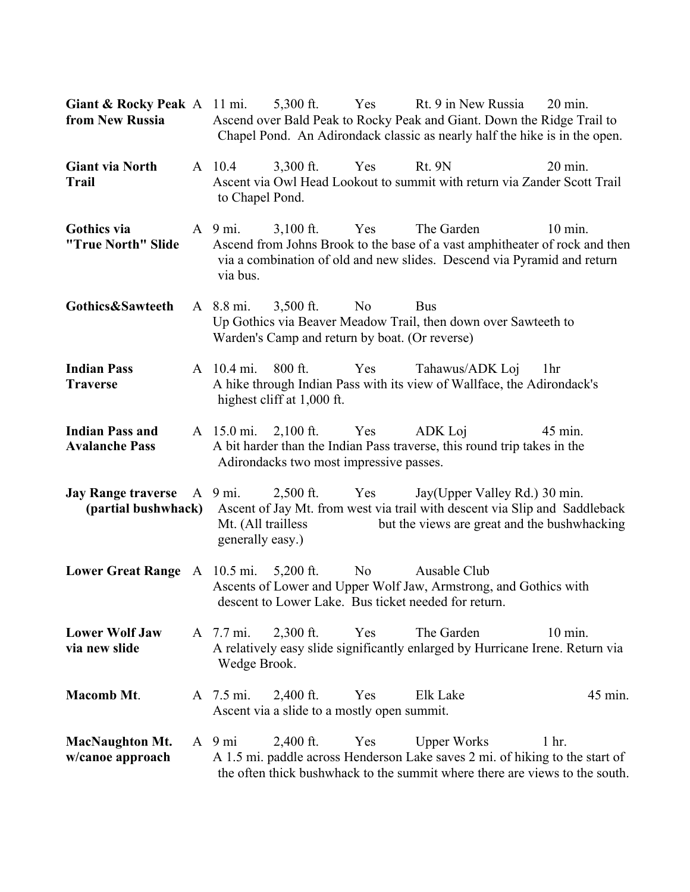| <b>Giant &amp; Rocky Peak</b> A 11 mi.<br>from New Russia |                                                                   |                                                                     |                | 5,300 ft. Yes Rt. 9 in New Russia<br>Ascend over Bald Peak to Rocky Peak and Giant. Down the Ridge Trail to<br>Chapel Pond. An Adirondack classic as nearly half the hike is in the open. | $20 \text{ min}$ . |
|-----------------------------------------------------------|-------------------------------------------------------------------|---------------------------------------------------------------------|----------------|-------------------------------------------------------------------------------------------------------------------------------------------------------------------------------------------|--------------------|
| <b>Giant via North</b><br><b>Trail</b>                    | A 10.4<br>to Chapel Pond.                                         | $3,300$ ft.                                                         | Yes            | <b>Rt. 9N</b><br>Ascent via Owl Head Lookout to summit with return via Zander Scott Trail                                                                                                 | 20 min.            |
| Gothics via<br>"True North" Slide                         | $A \quad 9 \text{ mi.}$<br>via bus.                               | $3,100$ ft.                                                         | Yes            | The Garden<br>Ascend from Johns Brook to the base of a vast amphitheater of rock and then<br>via a combination of old and new slides. Descend via Pyramid and return                      | $10 \text{ min}$ . |
| Gothics&Sawteeth                                          | A 8.8 mi.                                                         | $3,500$ ft.<br>Warden's Camp and return by boat. (Or reverse)       | N <sub>0</sub> | <b>Bus</b><br>Up Gothics via Beaver Meadow Trail, then down over Sawteeth to                                                                                                              |                    |
| <b>Indian Pass</b><br><b>Traverse</b>                     | A 10.4 mi.                                                        | $800$ ft.<br>highest cliff at 1,000 ft.                             | Yes            | Tahawus/ADK Loj<br>A hike through Indian Pass with its view of Wallface, the Adirondack's                                                                                                 | 1 <sub>hr</sub>    |
| <b>Indian Pass and</b><br><b>Avalanche Pass</b>           |                                                                   | A 15.0 mi. 2,100 ft. Yes<br>Adirondacks two most impressive passes. |                | ADK Loj<br>A bit harder than the Indian Pass traverse, this round trip takes in the                                                                                                       | 45 min.            |
| <b>Jay Range traverse</b><br>(partial bushwhack)          | $A \quad 9 \text{ mi.}$<br>Mt. (All trailless<br>generally easy.) | $2,500$ ft.                                                         | Yes            | Jay(Upper Valley Rd.) 30 min.<br>Ascent of Jay Mt. from west via trail with descent via Slip and Saddleback<br>but the views are great and the bushwhacking                               |                    |
| Lower Great Range $A$ 10.5 mi. 5,200 ft.                  |                                                                   |                                                                     | N <sub>0</sub> | Ausable Club<br>Ascents of Lower and Upper Wolf Jaw, Armstrong, and Gothics with<br>descent to Lower Lake. Bus ticket needed for return.                                                  |                    |
| <b>Lower Wolf Jaw</b><br>via new slide                    | A 7.7 mi.<br>Wedge Brook.                                         | $2,300$ ft.                                                         | Yes            | The Garden<br>A relatively easy slide significantly enlarged by Hurricane Irene. Return via                                                                                               | 10 min.            |
| <b>Macomb Mt.</b>                                         | A 7.5 mi.                                                         | $2,400$ ft.<br>Ascent via a slide to a mostly open summit.          | Yes            | Elk Lake                                                                                                                                                                                  | 45 min.            |
| <b>MacNaughton Mt.</b><br>w/canoe approach                | $A \quad 9 \text{ mi}$                                            | $2,400$ ft.                                                         | Yes            | <b>Upper Works</b><br>A 1.5 mi. paddle across Henderson Lake saves 2 mi. of hiking to the start of<br>the often thick bushwhack to the summit where there are views to the south.         | $1hr$ .            |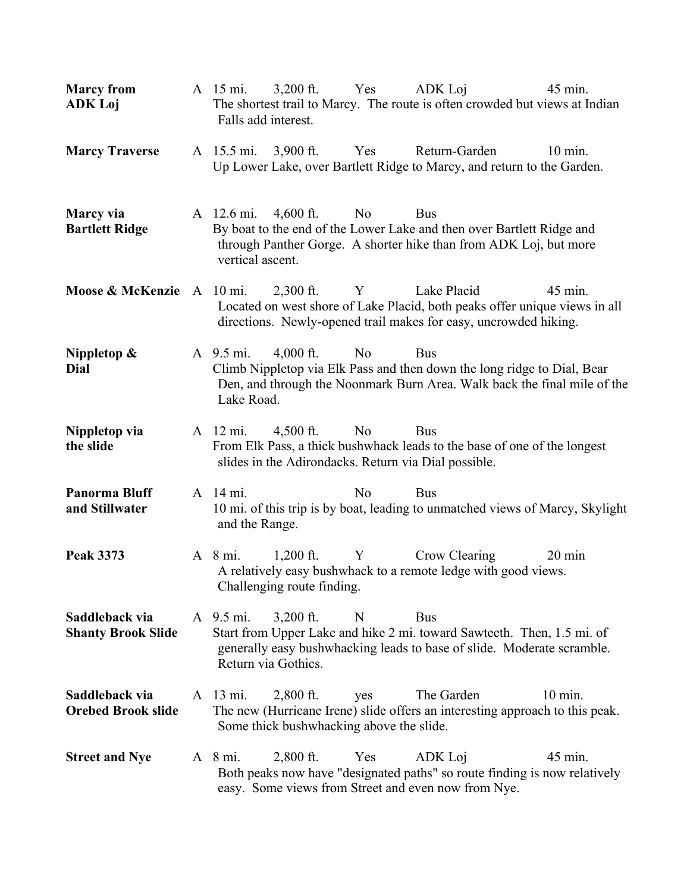| <b>Marcy from</b><br><b>ADK Loj</b>         | A 15 mi.<br>Falls add interest.  | $3,200$ ft.                                               | Yes            | ADK Loj<br>The shortest trail to Marcy. The route is often crowded but views at Indian                                                                            | 45 min.           |
|---------------------------------------------|----------------------------------|-----------------------------------------------------------|----------------|-------------------------------------------------------------------------------------------------------------------------------------------------------------------|-------------------|
| <b>Marcy Traverse</b>                       | A 15.5 mi.                       | $3,900$ ft.                                               | Yes            | Return-Garden<br>Up Lower Lake, over Bartlett Ridge to Marcy, and return to the Garden.                                                                           | $10 \text{ min.}$ |
| Marcy via<br><b>Bartlett Ridge</b>          | A 12.6 mi.<br>vertical ascent.   | $4,600$ ft.                                               | N <sub>0</sub> | <b>Bus</b><br>By boat to the end of the Lower Lake and then over Bartlett Ridge and<br>through Panther Gorge. A shorter hike than from ADK Loj, but more          |                   |
| Moose & McKenzie                            | A 10 mi.                         | $2,300$ ft.                                               | Y              | Lake Placid<br>Located on west shore of Lake Placid, both peaks offer unique views in all<br>directions. Newly-opened trail makes for easy, uncrowded hiking.     | 45 min.           |
| Nippletop $\&$<br>Dial                      | A 9.5 mi.<br>Lake Road.          | $4,000$ ft.                                               | N <sub>0</sub> | <b>Bus</b><br>Climb Nippletop via Elk Pass and then down the long ridge to Dial, Bear<br>Den, and through the Noonmark Burn Area. Walk back the final mile of the |                   |
| Nippletop via<br>the slide                  | A 12 mi.                         | $4,500$ ft.                                               | N <sub>o</sub> | <b>Bus</b><br>From Elk Pass, a thick bushwhack leads to the base of one of the longest<br>slides in the Adirondacks. Return via Dial possible.                    |                   |
| <b>Panorma Bluff</b><br>and Stillwater      | A 14 mi.<br>and the Range.       |                                                           | No             | <b>Bus</b><br>10 mi. of this trip is by boat, leading to unmatched views of Marcy, Skylight                                                                       |                   |
| <b>Peak 3373</b>                            | $A \ 8 \text{mi}$ .              | $1,200$ ft.<br>$\mathbf{Y}$<br>Challenging route finding. |                | Crow Clearing<br>A relatively easy bushwhack to a remote ledge with good views.                                                                                   | $20 \text{ min}$  |
| Saddleback via<br><b>Shanty Brook Slide</b> | A 9.5 mi.<br>Return via Gothics. | $3,200$ ft.                                               | N              | <b>Bus</b><br>Start from Upper Lake and hike 2 mi. toward Sawteeth. Then, 1.5 mi. of<br>generally easy bushwhacking leads to base of slide. Moderate scramble.    |                   |
| Saddleback via<br><b>Orebed Brook slide</b> | A 13 mi.                         | $2,800$ ft.<br>Some thick bushwhacking above the slide.   | yes            | The Garden<br>The new (Hurricane Irene) slide offers an interesting approach to this peak.                                                                        | $10$ min.         |
| <b>Street and Nye</b>                       | A 8 mi.                          | $2,800$ ft.                                               | Yes            | ADK Loj<br>Both peaks now have "designated paths" so route finding is now relatively<br>easy. Some views from Street and even now from Nye.                       | 45 min.           |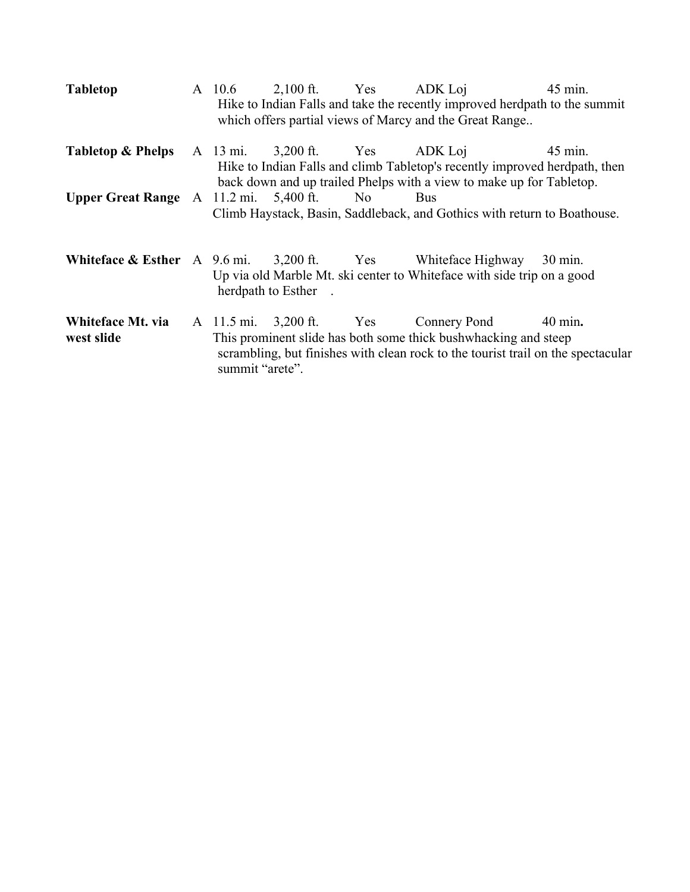| <b>Tabletop</b>                             | A 10.6          | $2,100$ ft. Yes ADK Loj        |                                                                                                                                                                                              | 45 min.           |
|---------------------------------------------|-----------------|--------------------------------|----------------------------------------------------------------------------------------------------------------------------------------------------------------------------------------------|-------------------|
|                                             |                 |                                | Hike to Indian Falls and take the recently improved herdpath to the summit<br>which offers partial views of Marcy and the Great Range                                                        |                   |
| <b>Tabletop &amp; Phelps</b>                |                 | A 13 mi. 3,200 ft. Yes ADK Loj | Hike to Indian Falls and climb Tabletop's recently improved herdpath, then<br>back down and up trailed Phelps with a view to make up for Tabletop.                                           | 45 min.           |
| Upper Great Range $A$ 11.2 mi. 5,400 ft. No |                 |                                | Bus<br>Climb Haystack, Basin, Saddleback, and Gothics with return to Boathouse.                                                                                                              |                   |
|                                             |                 | herdpath to Esther.            | <b>Whiteface &amp; Esther</b> A 9.6 mi. 3,200 ft. Yes Whiteface Highway 30 min.<br>Up via old Marble Mt. ski center to Whiteface with side trip on a good                                    |                   |
| Whiteface Mt. via<br>west slide             | summit "arete". |                                | A 11.5 mi. 3,200 ft. Yes Connery Pond<br>This prominent slide has both some thick bushwhacking and steep<br>scrambling, but finishes with clean rock to the tourist trail on the spectacular | $40 \text{ min.}$ |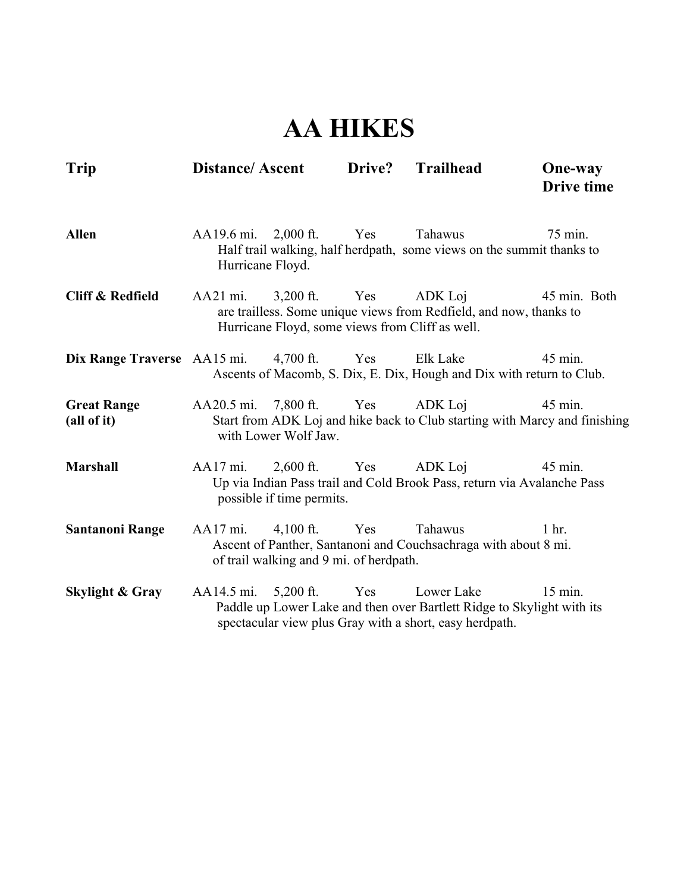### **AA HIKES**

| <b>Trip</b>                       | <b>Distance/Ascent</b>                   |                                                        | Drive? | <b>Trailhead</b>                                                                                                                                | <b>One-way</b><br><b>Drive time</b>                                                   |
|-----------------------------------|------------------------------------------|--------------------------------------------------------|--------|-------------------------------------------------------------------------------------------------------------------------------------------------|---------------------------------------------------------------------------------------|
| <b>Allen</b>                      | AA19.6 mi. 2,000 ft.<br>Hurricane Floyd. |                                                        | Yes    | Tahawus<br>Half trail walking, half herdpath, some views on the summit thanks to                                                                | 75 min.                                                                               |
| <b>Cliff &amp; Redfield</b>       | AA21 mi.                                 | $3,200$ ft.                                            | Yes    | ADK Loj<br>are trailless. Some unique views from Redfield, and now, thanks to<br>Hurricane Floyd, some views from Cliff as well.                | 45 min. Both                                                                          |
| Dix Range Traverse AA15 mi.       |                                          | $4,700$ ft.                                            | Yes    | Elk Lake<br>Ascents of Macomb, S. Dix, E. Dix, Hough and Dix with return to Club.                                                               | 45 min.                                                                               |
| <b>Great Range</b><br>(all of it) | AA20.5 mi. 7,800 ft. Yes                 | with Lower Wolf Jaw.                                   |        | ADK Loj                                                                                                                                         | 45 min.<br>Start from ADK Loj and hike back to Club starting with Marcy and finishing |
| <b>Marshall</b>                   | AA17 mi.                                 | possible if time permits.                              |        | 2,600 ft. Yes ADK Loj<br>Up via Indian Pass trail and Cold Brook Pass, return via Avalanche Pass                                                | 45 min.                                                                               |
| <b>Santanoni Range</b>            | $AA17$ mi.                               | $4,100$ ft.<br>of trail walking and 9 mi. of herdpath. | Yes    | Tahawus<br>Ascent of Panther, Santanoni and Couchsachraga with about 8 mi.                                                                      | $1$ hr.                                                                               |
| <b>Skylight &amp; Gray</b>        | AA14.5 mi.                               | $5,200$ ft.                                            | Yes    | Lower Lake<br>Paddle up Lower Lake and then over Bartlett Ridge to Skylight with its<br>spectacular view plus Gray with a short, easy herdpath. | 15 min.                                                                               |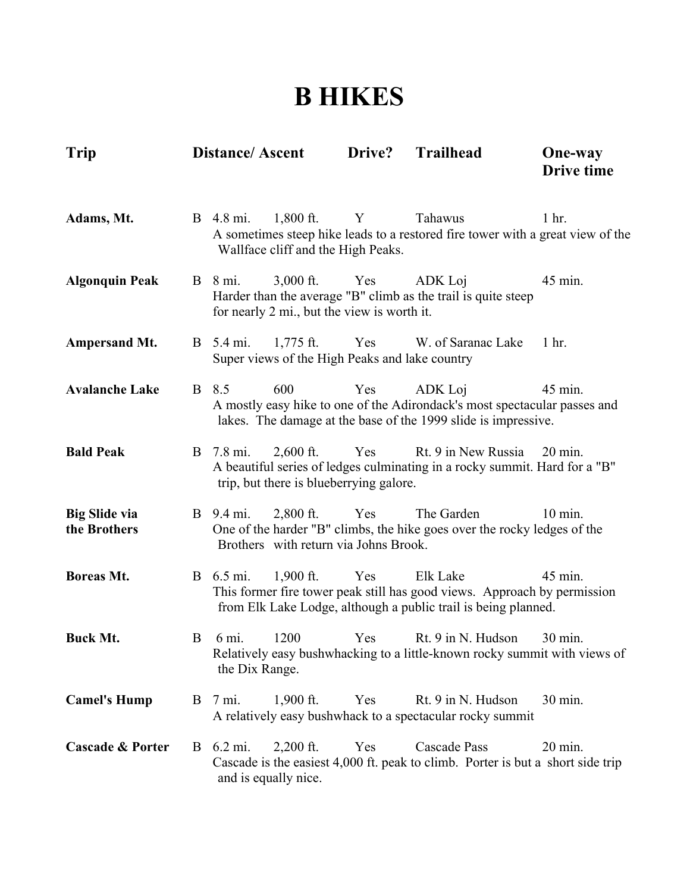#### **B HIKES**

| <b>Trip</b>                          |   | <b>Distance/Ascent</b>                                                            | Drive?       | <b>Trailhead</b>                                                                                                                                       | <b>One-way</b><br><b>Drive time</b> |
|--------------------------------------|---|-----------------------------------------------------------------------------------|--------------|--------------------------------------------------------------------------------------------------------------------------------------------------------|-------------------------------------|
| Adams, Mt.                           |   | B 4.8 mi.<br>$1,800$ ft.<br>Wallface cliff and the High Peaks.                    | $\mathbf{Y}$ | Tahawus<br>A sometimes steep hike leads to a restored fire tower with a great view of the                                                              | 1 <sub>hr.</sub>                    |
| <b>Algonquin Peak</b>                |   | $3,000$ ft.<br><b>B</b> 8 mi.<br>for nearly 2 mi., but the view is worth it.      | Yes          | ADK Loj<br>Harder than the average "B" climb as the trail is quite steep                                                                               | 45 min.                             |
| <b>Ampersand Mt.</b>                 |   | <b>B</b> 5.4 mi.<br>$1,775$ ft.<br>Super views of the High Peaks and lake country |              | Yes W. of Saranac Lake                                                                                                                                 | 1 <sub>hr.</sub>                    |
| <b>Avalanche Lake</b>                |   | 600<br>B 8.5                                                                      | Yes          | ADK Loj<br>A mostly easy hike to one of the Adirondack's most spectacular passes and<br>lakes. The damage at the base of the 1999 slide is impressive. | 45 min.                             |
| <b>Bald Peak</b>                     |   | $2,600$ ft.<br>B 7.8 mi.<br>trip, but there is blueberrying galore.               | Yes          | Rt. 9 in New Russia<br>A beautiful series of ledges culminating in a rocky summit. Hard for a "B"                                                      | $20 \text{ min.}$                   |
| <b>Big Slide via</b><br>the Brothers |   | <b>B</b> 9.4 mi.<br>$2,800$ ft.<br>Brothers with return via Johns Brook.          | Yes          | The Garden<br>One of the harder "B" climbs, the hike goes over the rocky ledges of the                                                                 | $10$ min.                           |
| Boreas Mt.                           |   | <b>B</b> 6.5 mi.<br>$1,900$ ft.                                                   | Yes          | Elk Lake<br>This former fire tower peak still has good views. Approach by permission<br>from Elk Lake Lodge, although a public trail is being planned. | 45 min.                             |
| <b>Buck Mt.</b>                      | B | 1200<br>6 mi.<br>the Dix Range.                                                   | Yes          | Rt. 9 in N. Hudson<br>Relatively easy bushwhacking to a little-known rocky summit with views of                                                        | 30 min.                             |
| <b>Camel's Hump</b>                  |   | B 7 mi.<br>$1,900$ ft.                                                            | Yes          | Rt. 9 in N. Hudson<br>A relatively easy bushwhack to a spectacular rocky summit                                                                        | 30 min.                             |
| <b>Cascade &amp; Porter</b>          |   | B 6.2 mi.<br>$2,200$ ft.<br>and is equally nice.                                  | Yes          | Cascade Pass<br>Cascade is the easiest 4,000 ft. peak to climb. Porter is but a short side trip                                                        | $20 \text{ min.}$                   |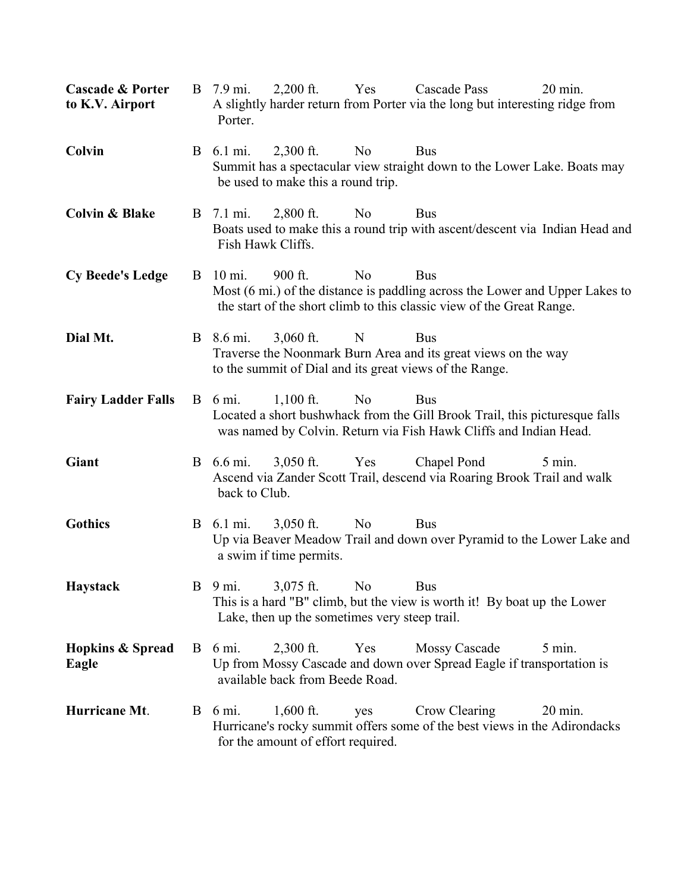| <b>Cascade &amp; Porter</b><br>to K.V. Airport | B  | 7.9 mi.<br>Porter.                | $2,200$ ft.                                                               | Yes            | Cascade Pass<br>A slightly harder return from Porter via the long but interesting ridge from                                                                        | $20 \text{ min.}$ |
|------------------------------------------------|----|-----------------------------------|---------------------------------------------------------------------------|----------------|---------------------------------------------------------------------------------------------------------------------------------------------------------------------|-------------------|
| Colvin                                         |    | B 6.1 mi.                         | $2,300$ ft.<br>be used to make this a round trip.                         | N <sub>0</sub> | <b>Bus</b><br>Summit has a spectacular view straight down to the Lower Lake. Boats may                                                                              |                   |
| <b>Colvin &amp; Blake</b>                      | B. | 7.1 mi.<br>Fish Hawk Cliffs.      | $2,800$ ft.                                                               | N <sub>0</sub> | <b>Bus</b><br>Boats used to make this a round trip with ascent/descent via Indian Head and                                                                          |                   |
| <b>Cy Beede's Ledge</b>                        |    | B 10 mi.                          | 900 ft.                                                                   | N <sub>o</sub> | <b>Bus</b><br>Most (6 mi.) of the distance is paddling across the Lower and Upper Lakes to<br>the start of the short climb to this classic view of the Great Range. |                   |
| Dial Mt.                                       |    | B 8.6 mi.                         | $3,060$ ft.                                                               | N              | <b>Bus</b><br>Traverse the Noonmark Burn Area and its great views on the way<br>to the summit of Dial and its great views of the Range.                             |                   |
| <b>Fairy Ladder Falls</b>                      |    | $B \t 6 mi.$                      | $1,100$ ft.                                                               | N <sub>0</sub> | <b>Bus</b><br>Located a short bushwhack from the Gill Brook Trail, this pictures que falls<br>was named by Colvin. Return via Fish Hawk Cliffs and Indian Head.     |                   |
| Giant                                          |    | <b>B</b> 6.6 mi.<br>back to Club. | $3,050$ ft.                                                               | Yes            | Chapel Pond<br>Ascend via Zander Scott Trail, descend via Roaring Brook Trail and walk                                                                              | $5 \text{ min.}$  |
| <b>Gothics</b>                                 |    | <b>B</b> 6.1 mi.                  | $3,050$ ft.<br>a swim if time permits.                                    | N <sub>0</sub> | <b>Bus</b><br>Up via Beaver Meadow Trail and down over Pyramid to the Lower Lake and                                                                                |                   |
| Haystack                                       |    |                                   | B 9 mi. 3,075 ft. No Bus<br>Lake, then up the sometimes very steep trail. |                | This is a hard "B" climb, but the view is worth it! By boat up the Lower                                                                                            |                   |
| <b>Hopkins &amp; Spread</b><br>Eagle           |    | $B \t 6 mi.$                      | $2,300$ ft.<br>available back from Beede Road.                            | Yes            | <b>Mossy Cascade</b><br>Up from Mossy Cascade and down over Spread Eagle if transportation is                                                                       | $5 \text{ min.}$  |
| Hurricane Mt.                                  |    | $B \t 6 mi.$                      | $1,600$ ft.<br>for the amount of effort required.                         | yes            | Crow Clearing<br>Hurricane's rocky summit offers some of the best views in the Adirondacks                                                                          | $20 \text{ min.}$ |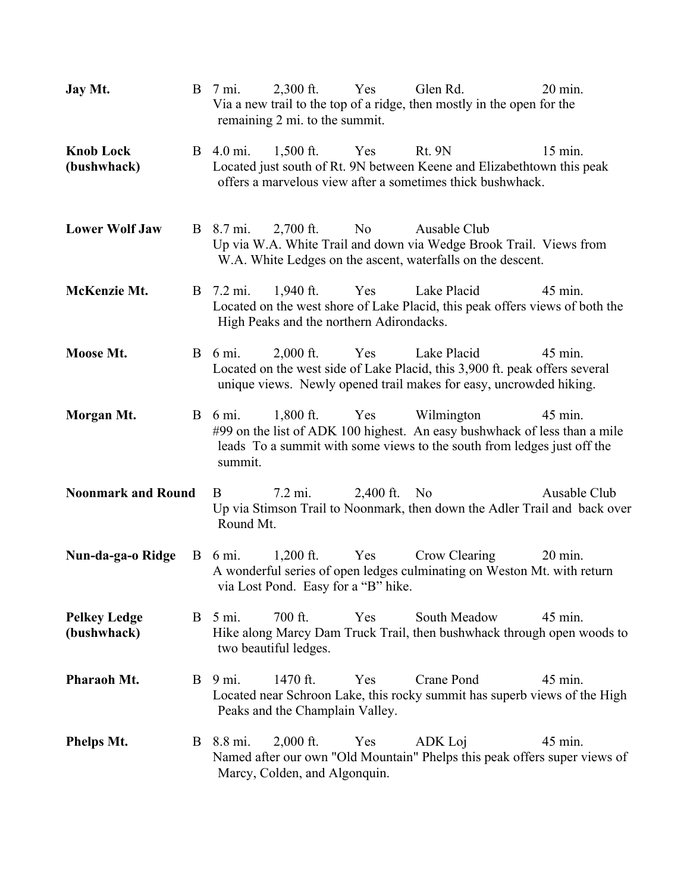| Jay Mt.                            | $2,300$ ft.<br>Yes<br>Glen Rd.<br>$20 \text{ min}$ .<br>$B \sim 7$ mi.<br>Via a new trail to the top of a ridge, then mostly in the open for the<br>remaining 2 mi. to the summit.                                             |
|------------------------------------|--------------------------------------------------------------------------------------------------------------------------------------------------------------------------------------------------------------------------------|
| <b>Knob Lock</b><br>(bushwhack)    | <b>B</b> 4.0 mi.<br>$1,500$ ft.<br>Yes<br><b>Rt. 9N</b><br>$15$ min.<br>Located just south of Rt. 9N between Keene and Elizabeth town this peak<br>offers a marvelous view after a sometimes thick bushwhack.                  |
| <b>Lower Wolf Jaw</b>              | $2,700$ ft.<br>N <sub>0</sub><br>Ausable Club<br><b>B</b> 8.7 mi.<br>Up via W.A. White Trail and down via Wedge Brook Trail. Views from<br>W.A. White Ledges on the ascent, waterfalls on the descent.                         |
| McKenzie Mt.                       | Lake Placid<br>45 min.<br><b>B</b> 7.2 mi.<br>$1,940$ ft.<br>Yes<br>Located on the west shore of Lake Placid, this peak offers views of both the<br>High Peaks and the northern Adirondacks.                                   |
| Moose Mt.                          | Lake Placid<br>$B \t 6 mi.$<br>$2,000$ ft.<br>Yes<br>45 min.<br>Located on the west side of Lake Placid, this 3,900 ft. peak offers several<br>unique views. Newly opened trail makes for easy, uncrowded hiking.              |
| Morgan Mt.                         | Wilmington<br>$B \t 6 mi.$<br>$1,800$ ft.<br>Yes<br>45 min.<br>#99 on the list of ADK 100 highest. An easy bushwhack of less than a mile<br>leads To a summit with some views to the south from ledges just off the<br>summit. |
| <b>Noonmark and Round</b>          | 2,400 ft. No<br>$7.2 \text{ mi.}$<br>Ausable Club<br>B<br>Up via Stimson Trail to Noonmark, then down the Adler Trail and back over<br>Round Mt.                                                                               |
| Nun-da-ga-o Ridge                  | $B \t 6 mi.$<br>$1,200$ ft.<br>Yes<br>Crow Clearing<br>20 min.<br>A wonderful series of open ledges culminating on Weston Mt. with return<br>via Lost Pond. Easy for a "B" hike.                                               |
| <b>Pelkey Ledge</b><br>(bushwhack) | 700 ft.<br>Yes<br>South Meadow<br>45 min.<br>$B \quad 5 \text{ mi.}$<br>Hike along Marcy Dam Truck Trail, then bushwhack through open woods to<br>two beautiful ledges.                                                        |
| Pharaoh Mt.                        | Crane Pond<br>$B \quad 9 \text{ mi.}$<br>1470 ft.<br>Yes<br>45 min.<br>Located near Schroon Lake, this rocky summit has superb views of the High<br>Peaks and the Champlain Valley.                                            |
| <b>Phelps Mt.</b>                  | 45 min.<br>B 8.8 mi.<br>$2,000$ ft.<br>Yes<br>ADK Loj<br>Named after our own "Old Mountain" Phelps this peak offers super views of<br>Marcy, Colden, and Algonquin.                                                            |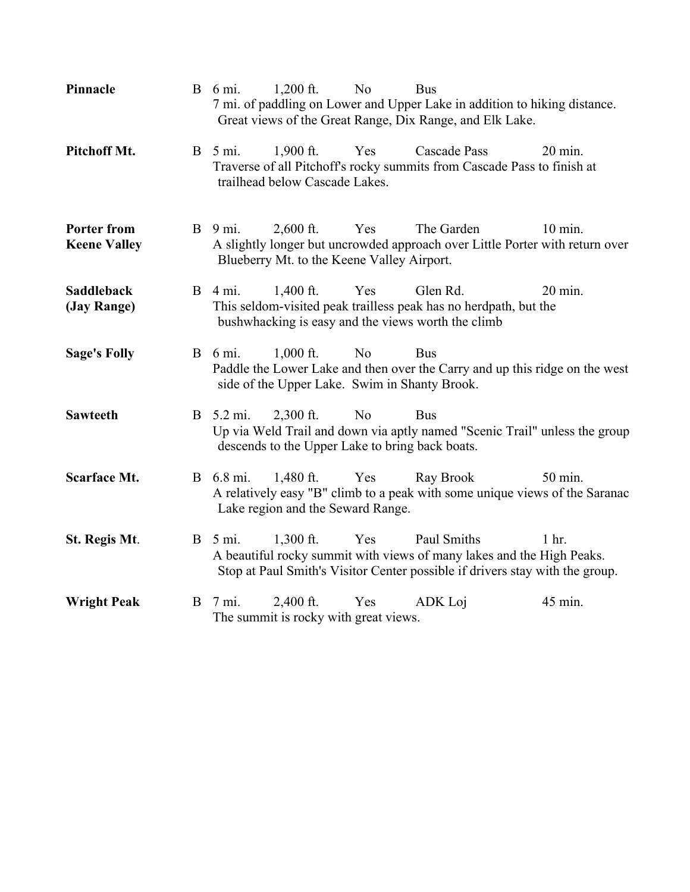| Pinnacle                                  |   | $B \t 6 mi.$            | $1,200$ ft.                                                    | N <sub>0</sub> | <b>Bus</b><br>7 mi. of paddling on Lower and Upper Lake in addition to hiking distance.<br>Great views of the Great Range, Dix Range, and Elk Lake.                  |                   |
|-------------------------------------------|---|-------------------------|----------------------------------------------------------------|----------------|----------------------------------------------------------------------------------------------------------------------------------------------------------------------|-------------------|
| Pitchoff Mt.                              |   | $B \quad 5 \text{ mi.}$ | $1,900$ ft.<br>trailhead below Cascade Lakes.                  | Yes            | Cascade Pass<br>Traverse of all Pitchoff's rocky summits from Cascade Pass to finish at                                                                              | $20 \text{ min.}$ |
| <b>Porter from</b><br><b>Keene Valley</b> |   | $B \quad 9 \text{ mi.}$ | $2,600$ ft.<br>Blueberry Mt. to the Keene Valley Airport.      | Yes            | The Garden<br>A slightly longer but uncrowded approach over Little Porter with return over                                                                           | $10$ min.         |
| <b>Saddleback</b><br>(Jay Range)          |   | <b>B</b> 4 mi.          | $1,400$ ft.                                                    | Yes            | Glen Rd.<br>This seldom-visited peak trailless peak has no herdpath, but the<br>bushwhacking is easy and the views worth the climb                                   | 20 min.           |
| <b>Sage's Folly</b>                       |   | <b>B</b> 6 mi.          | $1,000$ ft.<br>side of the Upper Lake. Swim in Shanty Brook.   | N <sub>0</sub> | <b>Bus</b><br>Paddle the Lower Lake and then over the Carry and up this ridge on the west                                                                            |                   |
| <b>Sawteeth</b>                           |   | B 5.2 mi.               | $2,300$ ft.<br>descends to the Upper Lake to bring back boats. | N <sub>0</sub> | <b>Bus</b><br>Up via Weld Trail and down via aptly named "Scenic Trail" unless the group                                                                             |                   |
| <b>Scarface Mt.</b>                       |   | B 6.8 mi.               | $1,480$ ft.<br>Lake region and the Seward Range.               | Yes            | Ray Brook<br>A relatively easy "B" climb to a peak with some unique views of the Saranac                                                                             | 50 min.           |
| St. Regis Mt.                             |   | $B \quad 5 \text{ mi.}$ | $1,300$ ft.                                                    | Yes            | Paul Smiths<br>A beautiful rocky summit with views of many lakes and the High Peaks.<br>Stop at Paul Smith's Visitor Center possible if drivers stay with the group. | $1$ hr.           |
| <b>Wright Peak</b>                        | B | 7 mi.                   | $2,400$ ft.<br>The summit is rocky with great views.           | Yes            | ADK Loj                                                                                                                                                              | 45 min.           |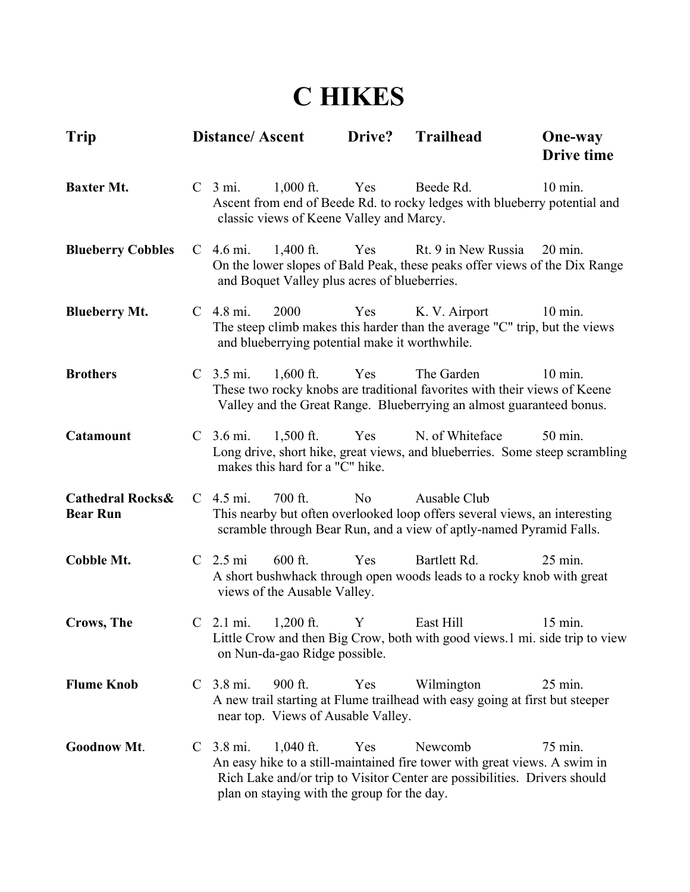#### **C HIKES**

| <b>Trip</b>                                    |               | <b>Distance/Ascent</b> |                                                             | Drive?         | <b>Trailhead</b>                                                                                                                                                  | <b>One-way</b><br><b>Drive time</b> |
|------------------------------------------------|---------------|------------------------|-------------------------------------------------------------|----------------|-------------------------------------------------------------------------------------------------------------------------------------------------------------------|-------------------------------------|
| <b>Baxter Mt.</b>                              |               | C <sub>3</sub> mi.     | $1,000$ ft.<br>classic views of Keene Valley and Marcy.     | Yes            | Beede Rd.<br>Ascent from end of Beede Rd. to rocky ledges with blueberry potential and                                                                            | $10 \text{ min.}$                   |
| <b>Blueberry Cobbles</b>                       |               | $C$ 4.6 mi.            | $1,400$ ft.<br>and Boquet Valley plus acres of blueberries. | Yes            | Rt. 9 in New Russia<br>On the lower slopes of Bald Peak, these peaks offer views of the Dix Range                                                                 | $20 \text{ min.}$                   |
| <b>Blueberry Mt.</b>                           |               | $C$ 4.8 mi.            | 2000<br>and blueberrying potential make it worthwhile.      | Yes            | K. V. Airport<br>The steep climb makes this harder than the average "C" trip, but the views                                                                       | $10 \text{ min.}$                   |
| <b>Brothers</b>                                |               | $C$ 3.5 mi.            | $1,600$ ft.                                                 | Yes            | The Garden<br>These two rocky knobs are traditional favorites with their views of Keene<br>Valley and the Great Range. Blueberrying an almost guaranteed bonus.   | 10 min.                             |
| <b>Catamount</b>                               |               | $C$ 3.6 mi.            | $1,500$ ft.<br>makes this hard for a "C" hike.              | Yes            | N. of Whiteface<br>Long drive, short hike, great views, and blueberries. Some steep scrambling                                                                    | 50 min.                             |
| <b>Cathedral Rocks&amp;</b><br><b>Bear Run</b> |               | $C$ 4.5 mi.            | $700$ ft.                                                   | N <sub>0</sub> | Ausable Club<br>This nearby but often overlooked loop offers several views, an interesting<br>scramble through Bear Run, and a view of aptly-named Pyramid Falls. |                                     |
| Cobble Mt.                                     |               | C <sub>2.5</sub> mi    | $600$ ft.<br>views of the Ausable Valley.                   | Yes            | Bartlett Rd.<br>A short bushwhack through open woods leads to a rocky knob with great                                                                             | 25 min.                             |
| <b>Crows</b> , The                             |               | $C$ 2.1 mi.            | $1,200$ ft.<br>on Nun-da-gao Ridge possible.                | Y              | East Hill<br>Little Crow and then Big Crow, both with good views.1 mi. side trip to view                                                                          | 15 min.                             |
| <b>Flume Knob</b>                              | $\mathbf C$   | 3.8 mi.                | 900 ft.<br>near top. Views of Ausable Valley.               | Yes            | Wilmington<br>A new trail starting at Flume trailhead with easy going at first but steeper                                                                        | 25 min.                             |
| <b>Goodnow Mt.</b>                             | $\mathcal{C}$ | 3.8 mi.                | $1,040$ ft.<br>plan on staying with the group for the day.  | Yes            | Newcomb<br>An easy hike to a still-maintained fire tower with great views. A swim in<br>Rich Lake and/or trip to Visitor Center are possibilities. Drivers should | 75 min.                             |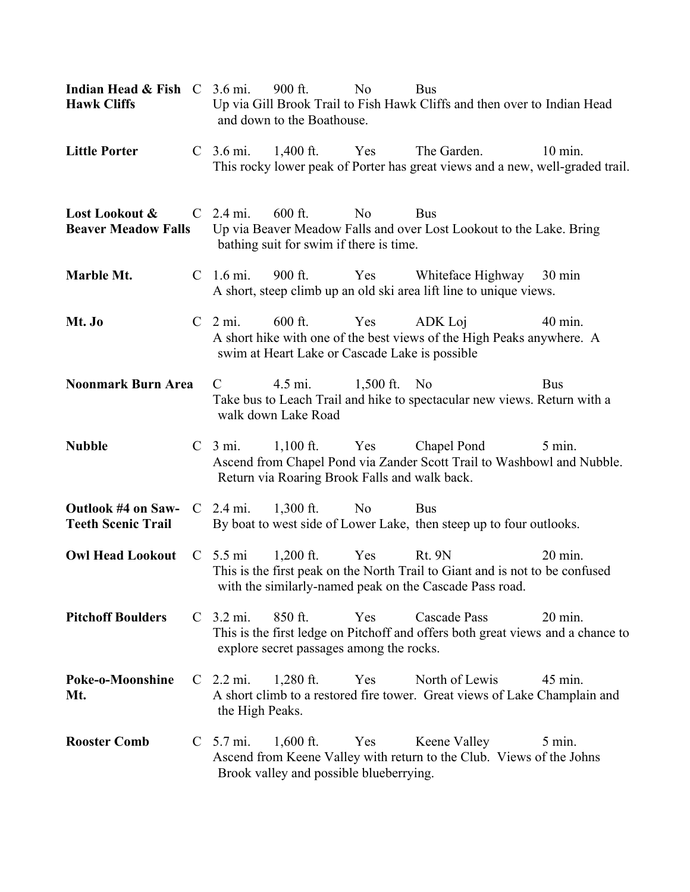| <b>Indian Head &amp; Fish</b> $C$ 3.6 mi.<br><b>Hawk Cliffs</b> |  |                                | $900$ ft.<br>and down to the Boathouse.                          | N <sub>o</sub> | <b>Bus</b><br>Up via Gill Brook Trail to Fish Hawk Cliffs and then over to Indian Head                                                                   |                   |
|-----------------------------------------------------------------|--|--------------------------------|------------------------------------------------------------------|----------------|----------------------------------------------------------------------------------------------------------------------------------------------------------|-------------------|
| <b>Little Porter</b>                                            |  | C $3.6 \text{ mi.}$ 1,400 ft.  |                                                                  | Yes            | The Garden.<br>This rocky lower peak of Porter has great views and a new, well-graded trail.                                                             | $10 \text{ min.}$ |
| Lost Lookout &<br><b>Beaver Meadow Falls</b>                    |  | $C$ 2.4 mi.                    | $600$ ft.<br>bathing suit for swim if there is time.             | No             | <b>Bus</b><br>Up via Beaver Meadow Falls and over Lost Lookout to the Lake. Bring                                                                        |                   |
| Marble Mt.                                                      |  | $C$ 1.6 mi.                    | 900 ft.                                                          | Yes            | Whiteface Highway 30 min<br>A short, steep climb up an old ski area lift line to unique views.                                                           |                   |
| Mt. Jo                                                          |  | C <sub>2</sub> mi.             | $600$ ft.<br>swim at Heart Lake or Cascade Lake is possible      | Yes            | ADK Loj<br>A short hike with one of the best views of the High Peaks anywhere. A                                                                         | 40 min.           |
| <b>Noonmark Burn Area</b>                                       |  | $\mathcal{C}$                  | 4.5 mi.<br>walk down Lake Road                                   | 1,500 ft. No   | Take bus to Leach Trail and hike to spectacular new views. Return with a                                                                                 | <b>Bus</b>        |
| <b>Nubble</b>                                                   |  | C <sub>3</sub> mi.             | $1,100$ ft. Yes<br>Return via Roaring Brook Falls and walk back. |                | Chapel Pond<br>Ascend from Chapel Pond via Zander Scott Trail to Washbowl and Nubble.                                                                    | $5 \text{ min.}$  |
| Outlook #4 on Saw-<br><b>Teeth Scenic Trail</b>                 |  | C $2.4 \text{ mi.}$ 1,300 ft.  |                                                                  | N <sub>o</sub> | <b>Bus</b><br>By boat to west side of Lower Lake, then steep up to four outlooks.                                                                        |                   |
| Owl Head Lookout C 5.5 mi 1,200 ft.                             |  |                                |                                                                  | Yes            | <b>Rt. 9N</b><br>This is the first peak on the North Trail to Giant and is not to be confused<br>with the similarly-named peak on the Cascade Pass road. | 20 min.           |
| <b>Pitchoff Boulders</b>                                        |  | C <sub>3.2</sub> mi.           | 850 ft.<br>explore secret passages among the rocks.              | Yes            | Cascade Pass<br>This is the first ledge on Pitchoff and offers both great views and a chance to                                                          | $20 \text{ min.}$ |
| Poke-o-Moonshine<br>Mt.                                         |  | $C$ 2.2 mi.<br>the High Peaks. | $1,280$ ft.                                                      | Yes            | North of Lewis<br>A short climb to a restored fire tower. Great views of Lake Champlain and                                                              | 45 min.           |
| <b>Rooster Comb</b>                                             |  | $C$ 5.7 mi.                    | $1,600$ ft.<br>Brook valley and possible blueberrying.           | Yes            | Keene Valley<br>Ascend from Keene Valley with return to the Club. Views of the Johns                                                                     | $5 \text{ min.}$  |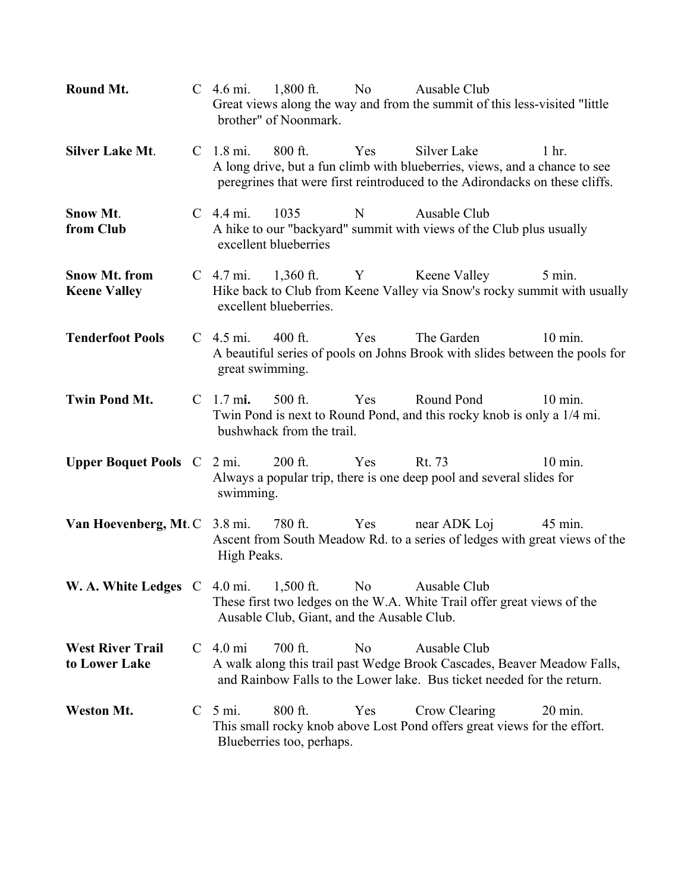| Round Mt.                                   | C $4.6 \text{ mi.}$ 1,800 ft.<br>No<br>Ausable Club<br>Great views along the way and from the summit of this less-visited "little<br>brother" of Noonmark.                                                                              |
|---------------------------------------------|-----------------------------------------------------------------------------------------------------------------------------------------------------------------------------------------------------------------------------------------|
| <b>Silver Lake Mt.</b>                      | $800$ ft.<br>Yes<br>Silver Lake<br>C <sub>1.8</sub> mi.<br>1 <sub>hr</sub><br>A long drive, but a fun climb with blueberries, views, and a chance to see<br>peregrines that were first reintroduced to the Adirondacks on these cliffs. |
| Snow Mt.<br>from Club                       | 1035<br>$C \quad 4.4 \text{ mi.}$<br>Ausable Club<br>N<br>A hike to our "backyard" summit with views of the Club plus usually<br>excellent blueberries                                                                                  |
| <b>Snow Mt. from</b><br><b>Keene Valley</b> | 1,360 ft. Y Keene Valley<br>$C$ 4.7 mi.<br>$5 \text{ min.}$<br>Hike back to Club from Keene Valley via Snow's rocky summit with usually<br>excellent blueberries.                                                                       |
| <b>Tenderfoot Pools</b>                     | Yes<br>The Garden<br>$C$ 4.5 mi.<br>$400$ ft.<br>$10 \text{ min}$ .<br>A beautiful series of pools on Johns Brook with slides between the pools for<br>great swimming.                                                                  |
| <b>Twin Pond Mt.</b>                        | $C$ 1.7 mi.<br>$500$ ft.<br>Yes<br>Round Pond<br>$10 \text{ min.}$<br>Twin Pond is next to Round Pond, and this rocky knob is only a 1/4 mi.<br>bushwhack from the trail.                                                               |
| <b>Upper Boquet Pools</b> C 2 mi.           | $200$ ft.<br>Yes<br>Rt. 73<br>$10 \text{ min.}$<br>Always a popular trip, there is one deep pool and several slides for<br>swimming.                                                                                                    |
| Van Hoevenberg, Mt. C 3.8 mi.               | 780 ft.<br>Yes<br>near ADK Loj<br>45 min.<br>Ascent from South Meadow Rd. to a series of ledges with great views of the<br>High Peaks.                                                                                                  |
|                                             | <b>W. A. White Ledges</b> $C$ 4.0 mi. 1,500 ft.<br>No No<br>Ausable Club<br>These first two ledges on the W.A. White Trail offer great views of the<br>Ausable Club, Giant, and the Ausable Club.                                       |
| <b>West River Trail</b><br>to Lower Lake    | C <sub>4.0</sub> mi<br>700 ft.<br>N <sub>o</sub><br>Ausable Club<br>A walk along this trail past Wedge Brook Cascades, Beaver Meadow Falls,<br>and Rainbow Falls to the Lower lake. Bus ticket needed for the return.                   |
| <b>Weston Mt.</b>                           | $C \quad 5 \text{ mi.}$<br>$800$ ft.<br>Yes<br>Crow Clearing<br>$20 \text{ min.}$<br>This small rocky knob above Lost Pond offers great views for the effort.<br>Blueberries too, perhaps.                                              |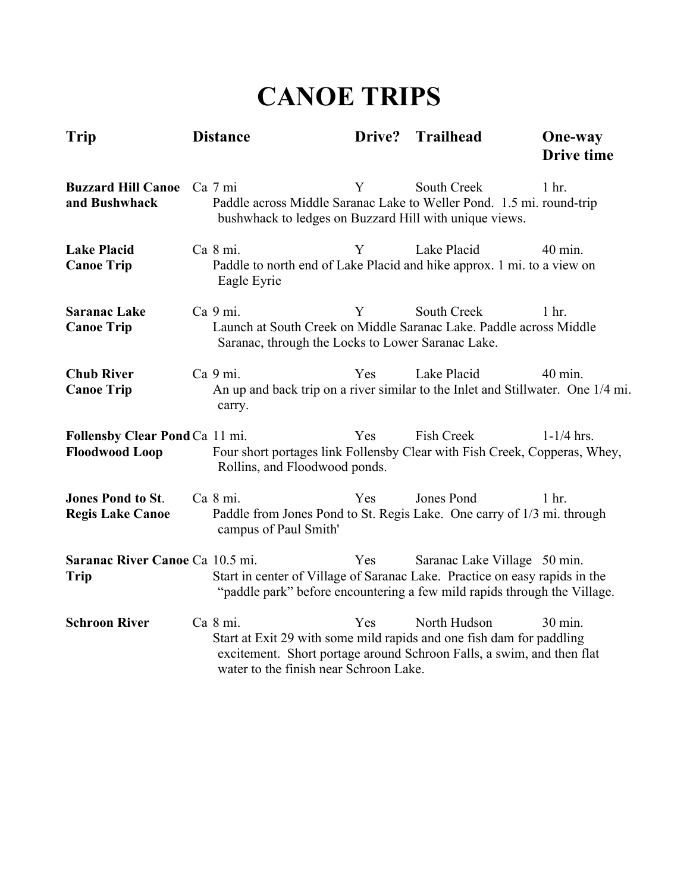## **CANOE TRIPS**

| Trip                                                    | <b>Distance</b>                                                                                                                                                                                     | Drive?     | <b>Trailhead</b>             | <b>One-way</b><br><b>Drive time</b> |
|---------------------------------------------------------|-----------------------------------------------------------------------------------------------------------------------------------------------------------------------------------------------------|------------|------------------------------|-------------------------------------|
| <b>Buzzard Hill Canoe</b><br>and Bushwhack              | Ca 7 mi<br>Paddle across Middle Saranac Lake to Weller Pond. 1.5 mi. round-trip<br>bushwhack to ledges on Buzzard Hill with unique views.                                                           | Y          | South Creek                  | 1 <sub>hr</sub>                     |
| <b>Lake Placid</b><br><b>Canoe Trip</b>                 | Ca 8 mi.<br>Paddle to north end of Lake Placid and hike approx. 1 mi. to a view on<br>Eagle Eyrie                                                                                                   | Y          | Lake Placid                  | 40 min.                             |
| <b>Saranac Lake</b><br><b>Canoe Trip</b>                | Ca 9 mi.<br>Launch at South Creek on Middle Saranac Lake. Paddle across Middle<br>Saranac, through the Locks to Lower Saranac Lake.                                                                 | Y          | <b>South Creek</b>           | $1$ hr.                             |
| <b>Chub River</b><br><b>Canoe Trip</b>                  | Ca 9 mi.<br>An up and back trip on a river similar to the Inlet and Stillwater. One 1/4 mi.<br>carry.                                                                                               | Yes        | Lake Placid                  | $40$ min.                           |
| Follensby Clear Pond Ca 11 mi.<br><b>Floodwood Loop</b> | Four short portages link Follensby Clear with Fish Creek, Copperas, Whey,<br>Rollins, and Floodwood ponds.                                                                                          | Yes        | <b>Fish Creek</b>            | $1 - 1/4$ hrs.                      |
| <b>Jones Pond to St.</b><br><b>Regis Lake Canoe</b>     | Ca 8 mi.<br>Paddle from Jones Pond to St. Regis Lake. One carry of 1/3 mi. through<br>campus of Paul Smith'                                                                                         | Yes        | Jones Pond                   | $1$ hr.                             |
| Saranac River Canoe Ca 10.5 mi.<br><b>Trip</b>          | Start in center of Village of Saranac Lake. Practice on easy rapids in the<br>"paddle park" before encountering a few mild rapids through the Village.                                              | Yes        | Saranac Lake Village 50 min. |                                     |
| <b>Schroon River</b>                                    | Ca 8 mi.<br>Start at Exit 29 with some mild rapids and one fish dam for paddling<br>excitement. Short portage around Schroon Falls, a swim, and then flat<br>water to the finish near Schroon Lake. | <b>Yes</b> | North Hudson                 | 30 min.                             |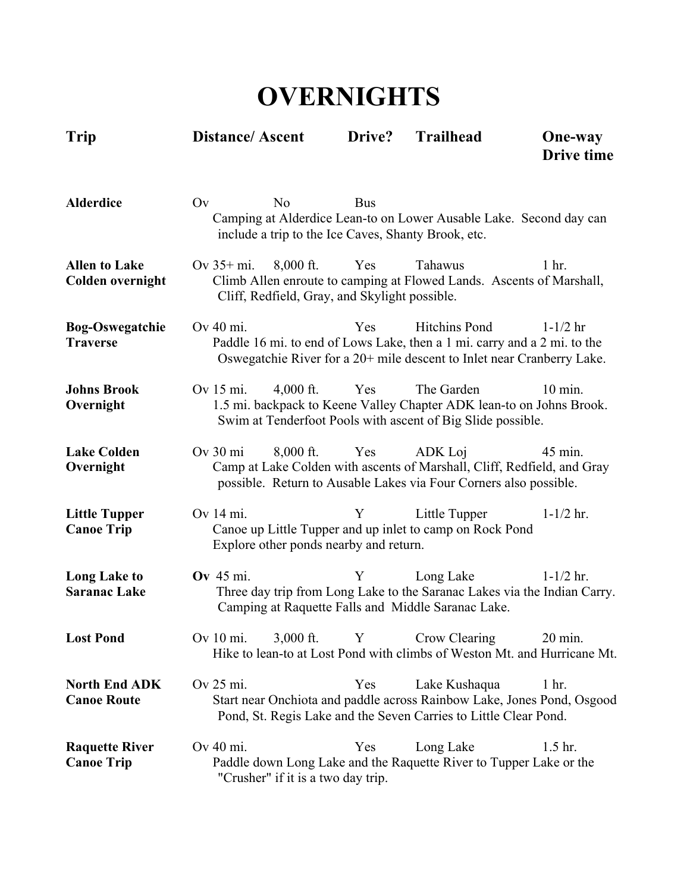## **OVERNIGHTS**

| Trip                                            | <b>Distance/Ascent</b> |                                                              | Drive?     | <b>Trailhead</b>                                                                                                                                                    | <b>One-way</b><br>Drive time |
|-------------------------------------------------|------------------------|--------------------------------------------------------------|------------|---------------------------------------------------------------------------------------------------------------------------------------------------------------------|------------------------------|
| <b>Alderdice</b>                                | Ov                     | No                                                           | <b>Bus</b> | Camping at Alderdice Lean-to on Lower Ausable Lake. Second day can<br>include a trip to the Ice Caves, Shanty Brook, etc.                                           |                              |
| <b>Allen to Lake</b><br><b>Colden overnight</b> | Ov $35+$ mi.           | $8,000$ ft.<br>Cliff, Redfield, Gray, and Skylight possible. | Yes        | Tahawus<br>Climb Allen enroute to camping at Flowed Lands. Ascents of Marshall,                                                                                     | 1 <sub>hr.</sub>             |
| <b>Bog-Oswegatchie</b><br><b>Traverse</b>       | Ov 40 mi.              |                                                              | Yes        | Hitchins Pond<br>Paddle 16 mi. to end of Lows Lake, then a 1 mi. carry and a 2 mi. to the<br>Oswegatchie River for a 20+ mile descent to Inlet near Cranberry Lake. | $1 - 1/2$ hr                 |
| <b>Johns Brook</b><br>Overnight                 | Ov 15 mi.              | $4,000$ ft.                                                  | Yes        | The Garden<br>1.5 mi. backpack to Keene Valley Chapter ADK lean-to on Johns Brook.<br>Swim at Tenderfoot Pools with ascent of Big Slide possible.                   | $10$ min.                    |
| <b>Lake Colden</b><br>Overnight                 | $Ov$ 30 mi             | $8,000$ ft.                                                  | Yes        | ADK Loj<br>Camp at Lake Colden with ascents of Marshall, Cliff, Redfield, and Gray<br>possible. Return to Ausable Lakes via Four Corners also possible.             | 45 min.                      |
| <b>Little Tupper</b><br><b>Canoe Trip</b>       | Ov 14 mi.              | Explore other ponds nearby and return.                       | Y          | Little Tupper<br>Canoe up Little Tupper and up inlet to camp on Rock Pond                                                                                           | $1 - 1/2$ hr.                |
| <b>Long Lake to</b><br><b>Saranac Lake</b>      | <b>Ov</b> 45 mi.       |                                                              | Y          | Long Lake<br>Three day trip from Long Lake to the Saranac Lakes via the Indian Carry.<br>Camping at Raquette Falls and Middle Saranac Lake.                         | $1 - 1/2$ hr.                |
| <b>Lost Pond</b>                                |                        | Ov 10 mi. 3,000 ft. Y                                        |            | Crow Clearing<br>Hike to lean-to at Lost Pond with climbs of Weston Mt. and Hurricane Mt.                                                                           | 20 min.                      |
| <b>North End ADK</b><br><b>Canoe Route</b>      | Ov 25 mi.              |                                                              | Yes        | Lake Kushaqua<br>Start near Onchiota and paddle across Rainbow Lake, Jones Pond, Osgood<br>Pond, St. Regis Lake and the Seven Carries to Little Clear Pond.         | 1 <sub>hr.</sub>             |
| <b>Raquette River</b><br><b>Canoe Trip</b>      | Ov 40 mi.              | "Crusher" if it is a two day trip.                           | Yes        | Long Lake<br>Paddle down Long Lake and the Raquette River to Tupper Lake or the                                                                                     | 1.5 <sub>hr.</sub>           |